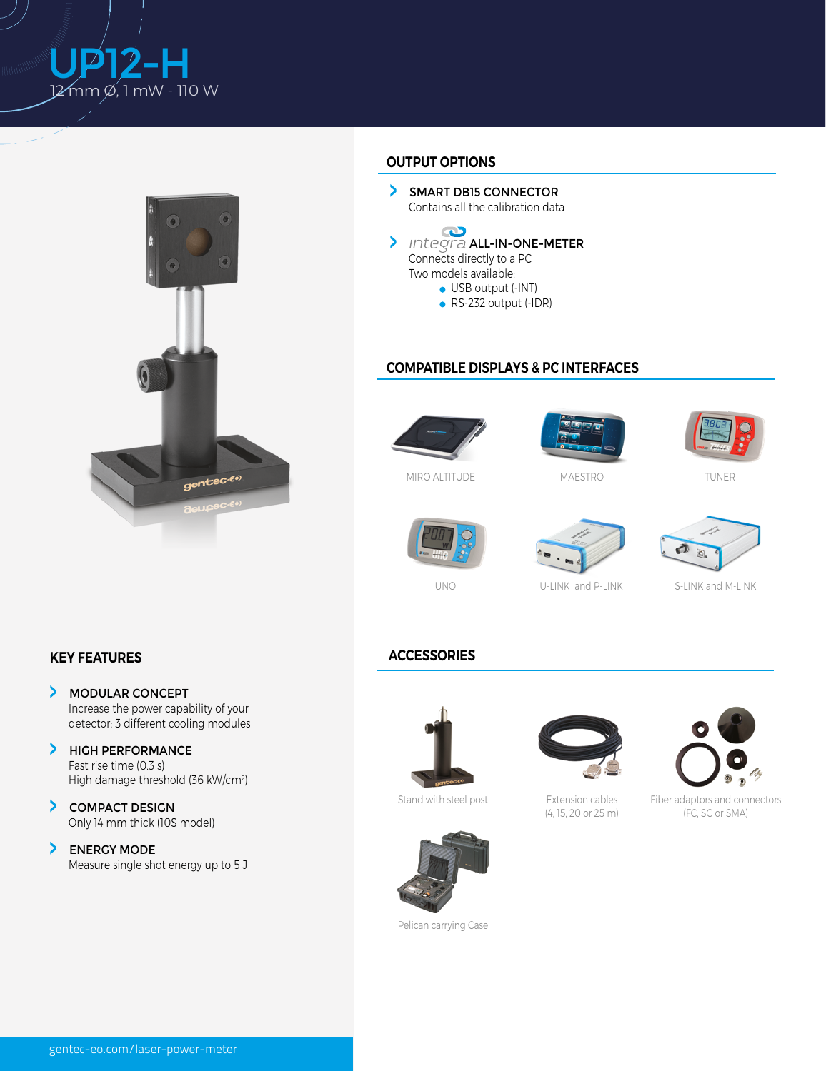



## **OUTPUT OPTIONS**

SMART DB15 CONNECTOR Contains all the calibration data



● RS-232 output (-IDR)

## **COMPATIBLE DISPLAYS & PC INTERFACES**



MIRO ALTITUDE



MAESTRO



TUNER



UNO





U-LINK and P-LINK S-LINK and M-LINK

## **KEY FEATURES**

- $\blacktriangleright$ MODULAR CONCEPT Increase the power capability of your detector: 3 different cooling modules
- > HIGH PERFORMANCE Fast rise time (0.3 s) High damage threshold (36 kW/cm2)
- COMPACT DESIGN Only 14 mm thick (10S model)
- > ENERGY MODE Measure single shot energy up to 5 J

## **ACCESSORIES**



Stand with steel post



Extension cables (4, 15, 20 or 25 m)



Fiber adaptors and connectors (FC, SC or SMA)



Pelican carrying Case